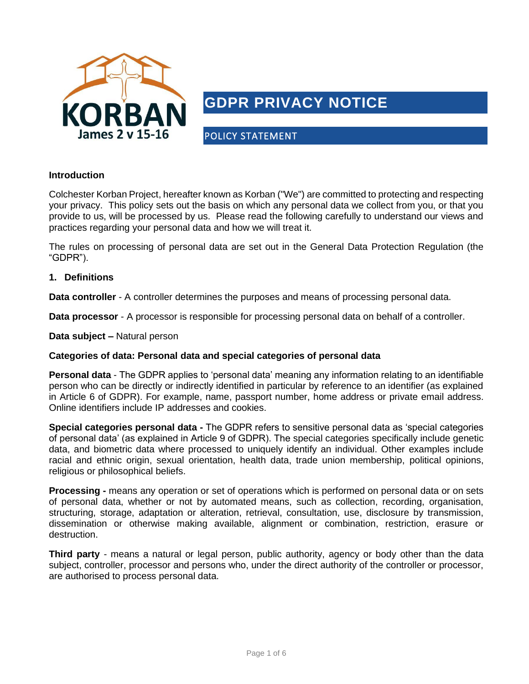

# **GDPR PRIVACY NOTICE**

POLICY STATEMENT

#### **Introduction**

Colchester Korban Project, hereafter known as Korban ("We") are committed to protecting and respecting your privacy. This policy sets out the basis on which any personal data we collect from you, or that you provide to us, will be processed by us. Please read the following carefully to understand our views and practices regarding your personal data and how we will treat it.

The rules on processing of personal data are set out in the General Data Protection Regulation (the "GDPR").

#### **1. Definitions**

**Data controller** - A controller determines the purposes and means of processing personal data.

**Data processor** - A processor is responsible for processing personal data on behalf of a controller.

**Data subject –** Natural person

#### **Categories of data: Personal data and special categories of personal data**

**Personal data** - The GDPR applies to 'personal data' meaning any information relating to an identifiable person who can be directly or indirectly identified in particular by reference to an identifier (as explained in Article 6 of GDPR). For example, name, passport number, home address or private email address. Online identifiers include IP addresses and cookies.

**Special categories personal data -** The GDPR refers to sensitive personal data as 'special categories of personal data' (as explained in Article 9 of GDPR). The special categories specifically include genetic data, and biometric data where processed to uniquely identify an individual. Other examples include racial and ethnic origin, sexual orientation, health data, trade union membership, political opinions, religious or philosophical beliefs.

**Processing -** means any operation or set of operations which is performed on personal data or on sets of personal data, whether or not by automated means, such as collection, recording, organisation, structuring, storage, adaptation or alteration, retrieval, consultation, use, disclosure by transmission, dissemination or otherwise making available, alignment or combination, restriction, erasure or destruction.

**Third party** - means a natural or legal person, public authority, agency or body other than the data subject, controller, processor and persons who, under the direct authority of the controller or processor, are authorised to process personal data.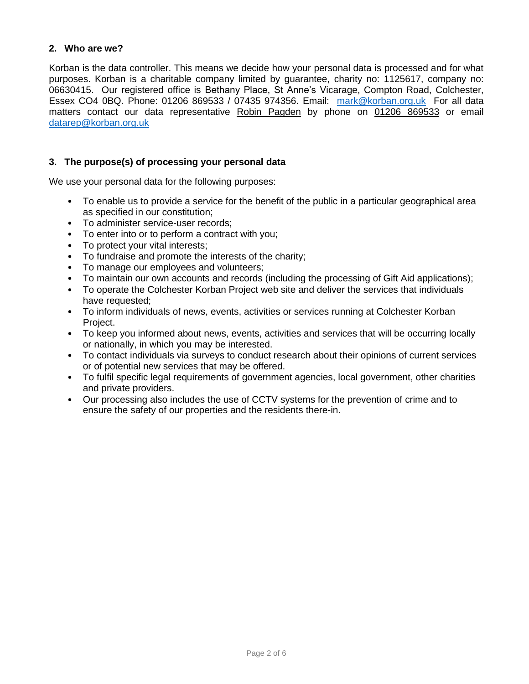#### **2. Who are we?**

Korban is the data controller. This means we decide how your personal data is processed and for what purposes. Korban is a charitable company limited by guarantee, charity no: 1125617, company no: 06630415. Our registered office is Bethany Place, St Anne's Vicarage, Compton Road, Colchester, Essex CO4 0BQ. Phone: 01206 869533 / 07435 974356. Email: [mark@korban.org.uk](mailto:mark@korban.org.uk) For all data matters contact our data representative Robin Pagden by phone on 01206 869533 or email [datarep@korban.org.uk](mailto:admin@korban.org.uk)

#### **3. The purpose(s) of processing your personal data**

We use your personal data for the following purposes:

- To enable us to provide a service for the benefit of the public in a particular geographical area as specified in our constitution;
- To administer service-user records;
- To enter into or to perform a contract with you;
- To protect your vital interests;
- To fundraise and promote the interests of the charity;
- To manage our employees and volunteers;
- To maintain our own accounts and records (including the processing of Gift Aid applications);
- To operate the Colchester Korban Project web site and deliver the services that individuals have requested;
- To inform individuals of news, events, activities or services running at Colchester Korban Project.
- To keep you informed about news, events, activities and services that will be occurring locally or nationally, in which you may be interested.
- To contact individuals via surveys to conduct research about their opinions of current services or of potential new services that may be offered.
- To fulfil specific legal requirements of government agencies, local government, other charities and private providers.
- Our processing also includes the use of CCTV systems for the prevention of crime and to ensure the safety of our properties and the residents there-in.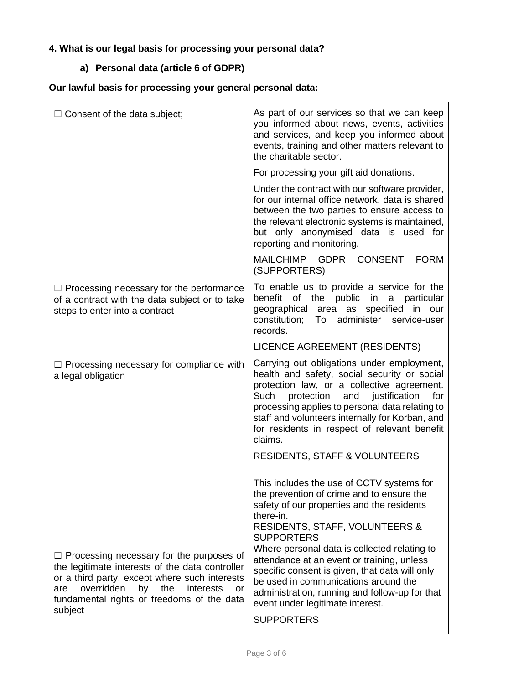## **4. What is our legal basis for processing your personal data?**

## **a) Personal data (article 6 of GDPR)**

## **Our lawful basis for processing your general personal data:**

| $\Box$ Consent of the data subject;                                                                                                                                                                                                                               | As part of our services so that we can keep<br>you informed about news, events, activities<br>and services, and keep you informed about<br>events, training and other matters relevant to<br>the charitable sector.                                                                                                                                         |
|-------------------------------------------------------------------------------------------------------------------------------------------------------------------------------------------------------------------------------------------------------------------|-------------------------------------------------------------------------------------------------------------------------------------------------------------------------------------------------------------------------------------------------------------------------------------------------------------------------------------------------------------|
|                                                                                                                                                                                                                                                                   | For processing your gift aid donations.                                                                                                                                                                                                                                                                                                                     |
|                                                                                                                                                                                                                                                                   | Under the contract with our software provider,<br>for our internal office network, data is shared<br>between the two parties to ensure access to<br>the relevant electronic systems is maintained,<br>but only anonymised data is used for<br>reporting and monitoring.                                                                                     |
|                                                                                                                                                                                                                                                                   | MAILCHIMP GDPR<br><b>CONSENT</b><br><b>FORM</b><br>(SUPPORTERS)                                                                                                                                                                                                                                                                                             |
| $\Box$ Processing necessary for the performance<br>of a contract with the data subject or to take<br>steps to enter into a contract                                                                                                                               | To enable us to provide a service for the<br>benefit of the public in<br>a particular<br>geographical area as specified in<br>our<br>administer<br>constitution;<br>To<br>service-user<br>records.                                                                                                                                                          |
|                                                                                                                                                                                                                                                                   | <b>LICENCE AGREEMENT (RESIDENTS)</b>                                                                                                                                                                                                                                                                                                                        |
| $\Box$ Processing necessary for compliance with<br>a legal obligation                                                                                                                                                                                             | Carrying out obligations under employment,<br>health and safety, social security or social<br>protection law, or a collective agreement.<br>Such<br>protection<br>and justification<br>for<br>processing applies to personal data relating to<br>staff and volunteers internally for Korban, and<br>for residents in respect of relevant benefit<br>claims. |
|                                                                                                                                                                                                                                                                   | <b>RESIDENTS, STAFF &amp; VOLUNTEERS</b>                                                                                                                                                                                                                                                                                                                    |
|                                                                                                                                                                                                                                                                   | This includes the use of CCTV systems for<br>the prevention of crime and to ensure the<br>safety of our properties and the residents<br>there-in.<br><b>RESIDENTS, STAFF, VOLUNTEERS &amp;</b><br><b>SUPPORTERS</b>                                                                                                                                         |
| $\Box$ Processing necessary for the purposes of<br>the legitimate interests of the data controller<br>or a third party, except where such interests<br>overridden<br>the<br>by<br>interests<br>are<br>or<br>fundamental rights or freedoms of the data<br>subject | Where personal data is collected relating to<br>attendance at an event or training, unless<br>specific consent is given, that data will only<br>be used in communications around the<br>administration, running and follow-up for that<br>event under legitimate interest.<br><b>SUPPORTERS</b>                                                             |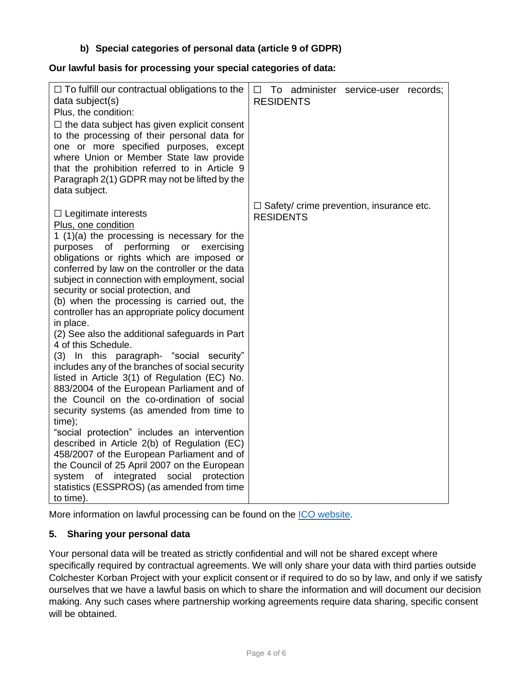## **b) Special categories of personal data (article 9 of GDPR)**

#### **Our lawful basis for processing your special categories of data:**

| $\Box$ To fulfill our contractual obligations to the<br>data subject(s)<br>Plus, the condition:<br>$\Box$ the data subject has given explicit consent<br>to the processing of their personal data for<br>one or more specified purposes, except<br>where Union or Member State law provide                                                                                                                                                                                                                                                                                                                                                                                                                                                                                                                                                                                                                                                                                                                                                                                                                                                        | To administer service-user records;<br>$\Box$<br><b>RESIDENTS</b>   |
|---------------------------------------------------------------------------------------------------------------------------------------------------------------------------------------------------------------------------------------------------------------------------------------------------------------------------------------------------------------------------------------------------------------------------------------------------------------------------------------------------------------------------------------------------------------------------------------------------------------------------------------------------------------------------------------------------------------------------------------------------------------------------------------------------------------------------------------------------------------------------------------------------------------------------------------------------------------------------------------------------------------------------------------------------------------------------------------------------------------------------------------------------|---------------------------------------------------------------------|
| that the prohibition referred to in Article 9<br>Paragraph 2(1) GDPR may not be lifted by the<br>data subject.                                                                                                                                                                                                                                                                                                                                                                                                                                                                                                                                                                                                                                                                                                                                                                                                                                                                                                                                                                                                                                    |                                                                     |
| $\Box$ Legitimate interests<br>Plus, one condition<br>1 $(1)(a)$ the processing is necessary for the<br>performing<br>purposes of<br>or<br>exercising<br>obligations or rights which are imposed or<br>conferred by law on the controller or the data<br>subject in connection with employment, social<br>security or social protection, and<br>(b) when the processing is carried out, the<br>controller has an appropriate policy document<br>in place.<br>(2) See also the additional safeguards in Part<br>4 of this Schedule.<br>(3) In this paragraph- "social security"<br>includes any of the branches of social security<br>listed in Article 3(1) of Regulation (EC) No.<br>883/2004 of the European Parliament and of<br>the Council on the co-ordination of social<br>security systems (as amended from time to<br>time);<br>"social protection" includes an intervention<br>described in Article 2(b) of Regulation (EC)<br>458/2007 of the European Parliament and of<br>the Council of 25 April 2007 on the European<br>integrated social<br>system<br>of<br>protection<br>statistics (ESSPROS) (as amended from time<br>to time). | $\Box$ Safety/ crime prevention, insurance etc.<br><b>RESIDENTS</b> |

More information on lawful processing can be found on the [ICO website.](https://ico.org.uk/for-organisations/guide-to-the-general-data-protection-regulation-gdpr/lawful-basis-for-processing/)

#### **5. Sharing your personal data**

Your personal data will be treated as strictly confidential and will not be shared except where specifically required by contractual agreements. We will only share your data with third parties outside Colchester Korban Project with your explicit consent or if required to do so by law, and only if we satisfy ourselves that we have a lawful basis on which to share the information and will document our decision making. Any such cases where partnership working agreements require data sharing, specific consent will be obtained.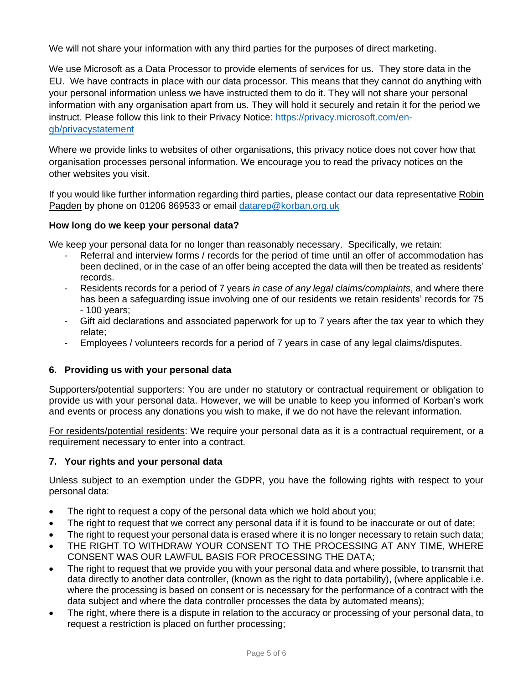We will not share your information with any third parties for the purposes of direct marketing.

We use Microsoft as a Data Processor to provide elements of services for us. They store data in the EU. We have contracts in place with our data processor. This means that they cannot do anything with your personal information unless we have instructed them to do it. They will not share your personal information with any organisation apart from us. They will hold it securely and retain it for the period we instruct. Please follow this link to their Privacy Notice: [https://privacy.microsoft.com/en](https://privacy.microsoft.com/en-gb/privacystatement)[gb/privacystatement](https://privacy.microsoft.com/en-gb/privacystatement)

Where we provide links to websites of other organisations, this privacy notice does not cover how that organisation processes personal information. We encourage you to read the privacy notices on the other websites you visit.

If you would like further information regarding third parties, please contact our data representative Robin Pagden by phone on 01206 869533 or email [datarep@korban.org.uk](mailto:admin@korban.org.uk)

#### **How long do we keep your personal data?**

We keep your personal data for no longer than reasonably necessary. Specifically, we retain:

- Referral and interview forms / records for the period of time until an offer of accommodation has been declined, or in the case of an offer being accepted the data will then be treated as residents' records.
- Residents records for a period of 7 years *in case of any legal claims/complaints*, and where there has been a safeguarding issue involving one of our residents we retain residents' records for 75 - 100 years;
- Gift aid declarations and associated paperwork for up to 7 years after the tax year to which they relate;
- Employees / volunteers records for a period of 7 years in case of any legal claims/disputes.

## **6. Providing us with your personal data**

Supporters/potential supporters: You are under no statutory or contractual requirement or obligation to provide us with your personal data. However, we will be unable to keep you informed of Korban's work and events or process any donations you wish to make, if we do not have the relevant information.

For residents/potential residents: We require your personal data as it is a contractual requirement, or a requirement necessary to enter into a contract.

#### **7. Your rights and your personal data**

Unless subject to an exemption under the GDPR, you have the following rights with respect to your personal data:

- The right to request a copy of the personal data which we hold about you;
- The right to request that we correct any personal data if it is found to be inaccurate or out of date;
- The right to request your personal data is erased where it is no longer necessary to retain such data;
- THE RIGHT TO WITHDRAW YOUR CONSENT TO THE PROCESSING AT ANY TIME, WHERE CONSENT WAS OUR LAWFUL BASIS FOR PROCESSING THE DATA;
- The right to request that we provide you with your personal data and where possible, to transmit that data directly to another data controller, (known as the right to data portability), (where applicable i.e. where the processing is based on consent or is necessary for the performance of a contract with the data subject and where the data controller processes the data by automated means);
- The right, where there is a dispute in relation to the accuracy or processing of your personal data, to request a restriction is placed on further processing;